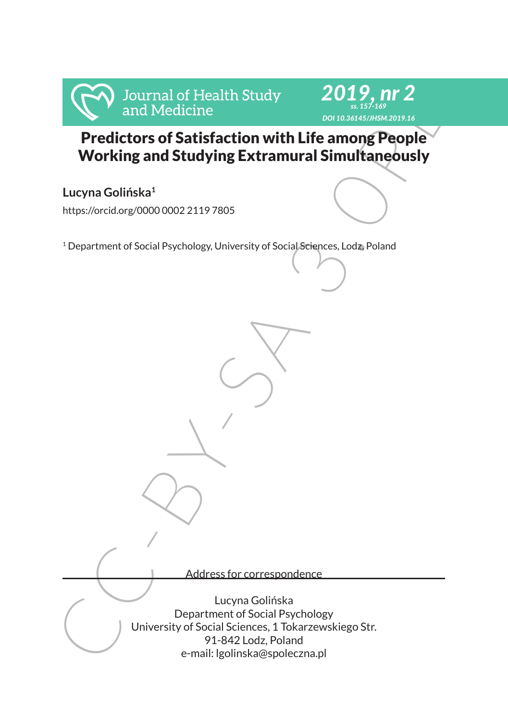



Predictors of Satisfaction with Life among People Working and Studying Extramural Simultaneously

# **Lucyna Golińska<sup>1</sup>**

https://orcid.org/0000 0002 2119 7805

<sup>1</sup> Department of Social Psychology, University of Social Sciences, Lodz, Poland

Address for correspondence

Fredictors of Satisfaction with Life among People<br>
Working and Medicine<br>
Working and Studying Extramural Simultaneously<br>
Lucyna Golińska<br>
https://orcidorg/000000221197805<br>
`Department of Social Psychology, University of So Lucyna Golińska Department of Social Psychology University of Social Sciences, 1 Tokarzewskiego Str. 91-842 Lodz, Poland e-mail: lgolinska@spoleczna.pl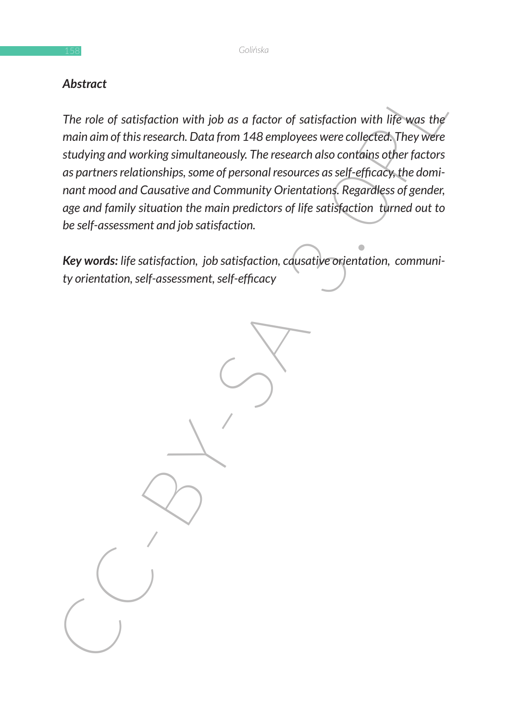### *Abstract*

Abstract<br>
The role of satisfaction with job as a factor of satisfaction with life was the<br>
min aim of this research. Data from 148 employees were colleted they were<br>
studying and working simultaneously. The research also c *The role of satisfaction with job as a factor of satisfaction with life was the main aim of this research. Data from 148 employees were collected. They were studying and working simultaneously. The research also contains other factors as partners relationships, some of personal resources as self-efficacy, the dominant mood and Causative and Community Orientations. Regardless of gender, age and family situation the main predictors of life satisfaction turned out to be self-assessment and job satisfaction.*

*Key words: life satisfaction, job satisfaction, causative orientation, community orientation, self-assessment, self-efficacy*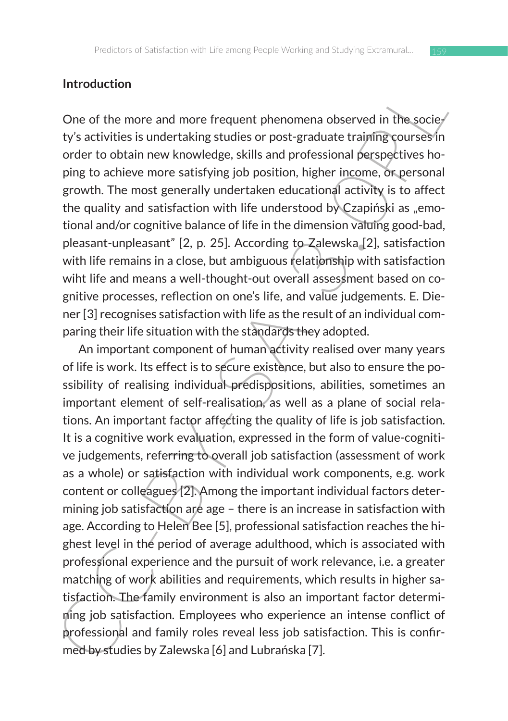### **Introduction**

One of the more and more frequent phenomena observed in the society's activities is undertaking studies or post-graduate training courses in order to obtain new knowledge, skills and professional perspectives hoping to achieve more satisfying job position, higher income, or personal growth. The most generally undertaken educational activity is to affect the quality and satisfaction with life understood by Czapiński as "emotional and/or cognitive balance of life in the dimension valuing good-bad, pleasant-unpleasant" [2, p. 25]. According to Zalewska [2], satisfaction with life remains in a close, but ambiguous relationship with satisfaction wiht life and means a well-thought-out overall assessment based on cognitive processes, reflection on one's life, and value judgements. E. Diener [3] recognises satisfaction with life as the result of an individual comparing their life situation with the standards they adopted.

Introduction<br>
One of the more and more frequent phenomena observed in the socie-<br>
ty's activities is under taking studies or post-graduate training courses in<br>
order to obtain new knowledge, skills and professional perspec An important component of human activity realised over many years of life is work. Its effect is to secure existence, but also to ensure the possibility of realising individual predispositions, abilities, sometimes an important element of self-realisation, as well as a plane of social relations. An important factor affecting the quality of life is job satisfaction. It is a cognitive work evaluation, expressed in the form of value-cognitive judgements, referring to overall job satisfaction (assessment of work as a whole) or satisfaction with individual work components, e.g. work content or colleagues [2]. Among the important individual factors determining job satisfaction are age – there is an increase in satisfaction with age. According to Helen Bee [5], professional satisfaction reaches the highest level in the period of average adulthood, which is associated with professional experience and the pursuit of work relevance, i.e. a greater matching of work abilities and requirements, which results in higher satisfaction. The family environment is also an important factor determining job satisfaction. Employees who experience an intense conflict of professional and family roles reveal less job satisfaction. This is confirmed by studies by Zalewska [6] and Lubrańska [7].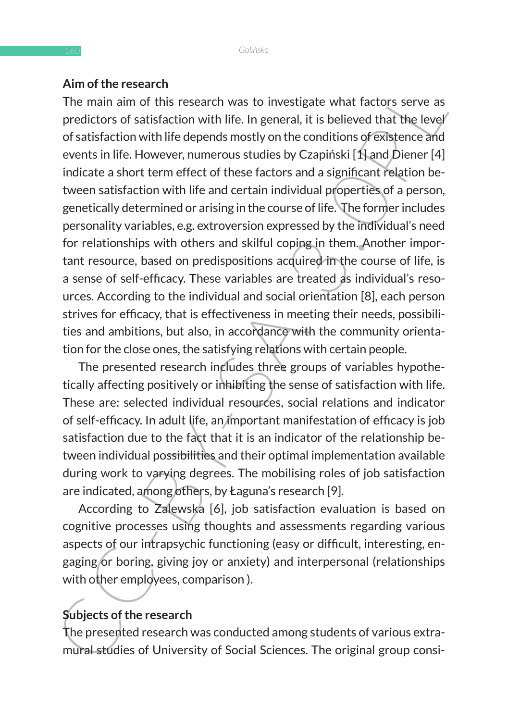### **Aim of the research**

Amoro to recessarion<br>The main and of this research was to investigate what factors serve as<br>predictors of satisfaction with life. In general, it is believed that the level<br>of satisfaction with life depeds mostly on the co The main aim of this research was to investigate what factors serve as predictors of satisfaction with life. In general, it is believed that the level of satisfaction with life depends mostly on the conditions of existence and events in life. However, numerous studies by Czapiński [1] and Diener [4] indicate a short term effect of these factors and a significant relation between satisfaction with life and certain individual properties of a person, genetically determined or arising in the course of life. The former includes personality variables, e.g. extroversion expressed by the individual's need for relationships with others and skilful coping in them. Another important resource, based on predispositions acquired in the course of life, is a sense of self-efficacy. These variables are treated as individual's resources. According to the individual and social orientation [8], each person strives for efficacy, that is effectiveness in meeting their needs, possibilities and ambitions, but also, in accordance with the community orientation for the close ones, the satisfying relations with certain people.

The presented research includes three groups of variables hypothetically affecting positively or inhibiting the sense of satisfaction with life. These are: selected individual resources, social relations and indicator of self-efficacy. In adult life, an important manifestation of efficacy is job satisfaction due to the fact that it is an indicator of the relationship between individual possibilities and their optimal implementation available during work to varying degrees. The mobilising roles of job satisfaction are indicated, among others, by Łaguna's research [9].

According to Zalewska [6], job satisfaction evaluation is based on cognitive processes using thoughts and assessments regarding various aspects of our intrapsychic functioning (easy or difficult, interesting, engaging or boring, giving joy or anxiety) and interpersonal (relationships with other employees, comparison ).

# **Subjects of the research**

The presented research was conducted among students of various extramural studies of University of Social Sciences. The original group consi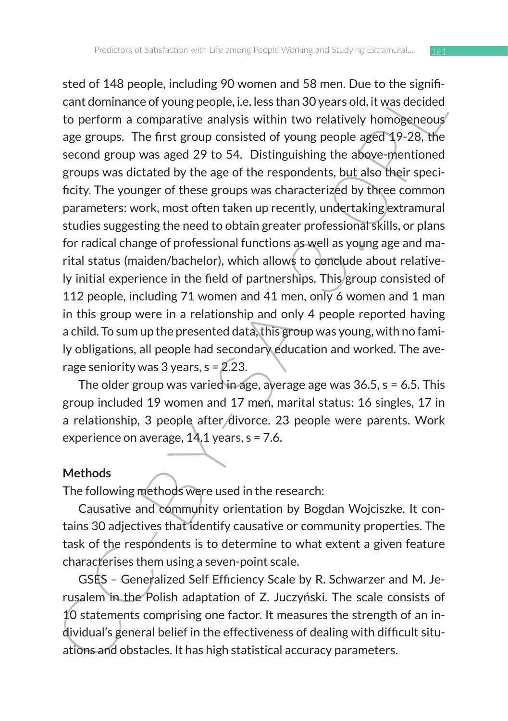steu or 4+0 peuple, including by women and 3 o ment. Due to use oursely controllance of young people, i.e. less than 30 years old, it was decided to perform a comparative analysis within two relatively homogeneous age gro sted of 148 people, including 90 women and 58 men. Due to the significant dominance of young people, i.e. less than 30 years old, it was decided to perform a comparative analysis within two relatively homogeneous age groups. The first group consisted of young people aged 19-28, the second group was aged 29 to 54. Distinguishing the above-mentioned groups was dictated by the age of the respondents, but also their specificity. The younger of these groups was characterized by three common parameters: work, most often taken up recently, undertaking extramural studies suggesting the need to obtain greater professional skills, or plans for radical change of professional functions as well as young age and marital status (maiden/bachelor), which allows to conclude about relatively initial experience in the field of partnerships. This group consisted of 112 people, including 71 women and 41 men, only 6 women and 1 man in this group were in a relationship and only 4 people reported having a child. To sum up the presented data, this group was young, with no family obligations, all people had secondary education and worked. The average seniority was 3 years,  $s = 2.23$ .

The older group was varied in age, average age was 36.5, s = 6.5. This group included 19 women and 17 men, marital status: 16 singles, 17 in a relationship, 3 people after divorce. 23 people were parents. Work experience on average,  $14.1$  years,  $s = 7.6$ .

#### **Methods**

The following methods were used in the research:

Causative and community orientation by Bogdan Wojciszke. It contains 30 adjectives that identify causative or community properties. The task of the respondents is to determine to what extent a given feature characterises them using a seven-point scale.

GSES – Generalized Self Efficiency Scale by R. Schwarzer and M. Jerusalem in the Polish adaptation of Z. Juczyński. The scale consists of 10 statements comprising one factor. It measures the strength of an individual's general belief in the effectiveness of dealing with difficult situations and obstacles. It has high statistical accuracy parameters.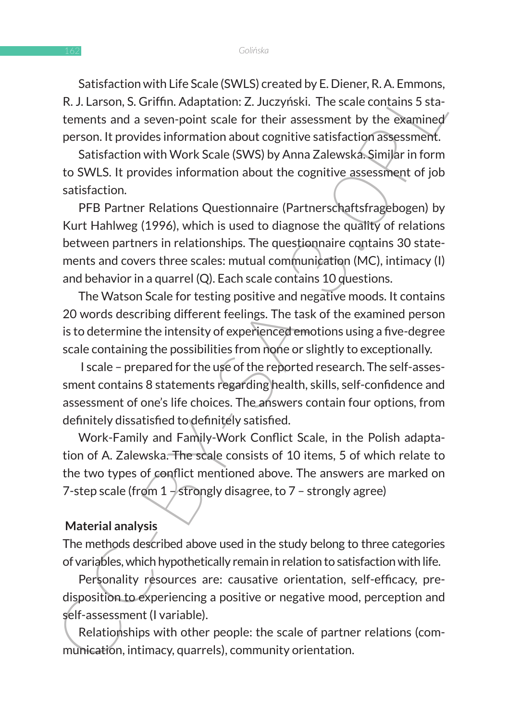Satisfaction with Life Scale (SWLS) created by E. Diener, R. A. Emmons, R. J. Larson, S. Griffin. Adaptation: Z. Juczyński. The scale contains 5 statements and a seven-point scale for their assessment by the examined person. It provides information about cognitive satisfaction assessment.

Satisfaction with Work Scale (SWS) by Anna Zalewska. Similar in form to SWLS. It provides information about the cognitive assessment of job satisfaction.

Substation winter exact sowisy created by the method of the method substation of the scale contains 5 sta-<br>E. U. Larson, S. Griffin. Adaptation: Z. Juczyński. The scale contains 5 sta-<br>tements and a seven-point scale for t PFB Partner Relations Questionnaire (Partnerschaftsfragebogen) by Kurt Hahlweg (1996), which is used to diagnose the quality of relations between partners in relationships. The questionnaire contains 30 statements and covers three scales: mutual communication (MC), intimacy (I) and behavior in a quarrel (Q). Each scale contains 10 questions.

The Watson Scale for testing positive and negative moods. It contains 20 words describing different feelings. The task of the examined person is to determine the intensity of experienced emotions using a five-degree scale containing the possibilities from none or slightly to exceptionally.

I scale – prepared for the use of the reported research. The self-assessment contains 8 statements regarding health, skills, self-confidence and assessment of one's life choices. The answers contain four options, from definitely dissatisfied to definitely satisfied.

Work-Family and Family-Work Conflict Scale, in the Polish adaptation of A. Zalewska. The scale consists of 10 items, 5 of which relate to the two types of conflict mentioned above. The answers are marked on 7-step scale (from  $1$  – strongly disagree, to  $7$  – strongly agree)

#### **Material analysis**

The methods described above used in the study belong to three categories of variables, which hypothetically remain in relation to satisfaction with life.

Personality resources are: causative orientation, self-efficacy, predisposition to experiencing a positive or negative mood, perception and self-assessment (I variable).

Relationships with other people: the scale of partner relations (communication, intimacy, quarrels), community orientation.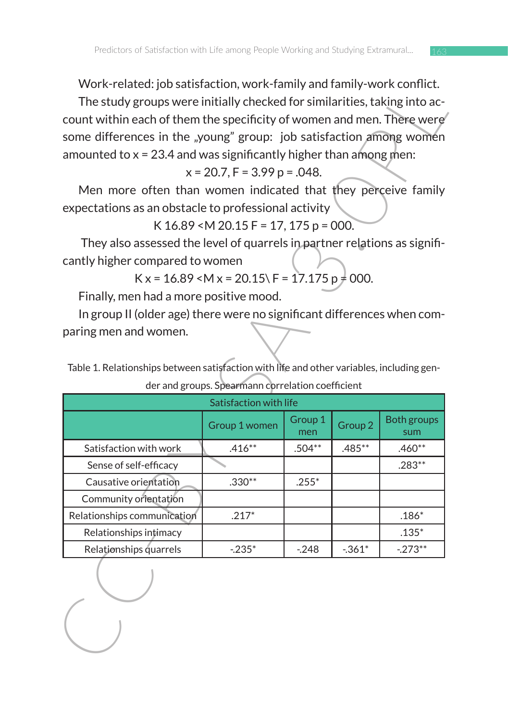Work-related: job satisfaction, work-family and family-work conflict.

$$
x = 20.7
$$
,  $F = 3.99$  p = .048.

|                                                                                           |                                                       |                |                    | VVOI K-related: JOD Satisfaction, WORK-ramily and family-work conflict. |
|-------------------------------------------------------------------------------------------|-------------------------------------------------------|----------------|--------------------|-------------------------------------------------------------------------|
| The study groups were initially checked for similarities, taking into ac-                 |                                                       |                |                    |                                                                         |
| count within each of them the specificity of women and men. There were                    |                                                       |                |                    |                                                                         |
| some differences in the "young" group: job satisfaction among women                       |                                                       |                |                    |                                                                         |
| amounted to $x = 23.4$ and was significantly higher than among men:                       |                                                       |                |                    |                                                                         |
|                                                                                           | $x = 20.7$ , $F = 3.99$ p = .048.                     |                |                    |                                                                         |
| Men more often than women indicated that they perceive family                             |                                                       |                |                    |                                                                         |
| expectations as an obstacle to professional activity                                      |                                                       |                |                    |                                                                         |
|                                                                                           | K $16.89$ < M $20.15$ F = 17, 175 p = 000.            |                |                    |                                                                         |
| They also assessed the level of quarrels in partner relations as signifi-                 |                                                       |                |                    |                                                                         |
| cantly higher compared to women                                                           |                                                       |                |                    |                                                                         |
|                                                                                           | $K x = 16.89$ < M x = 20.15\ F = 17.175 p $\neq$ 000. |                |                    |                                                                         |
| Finally, men had a more positive mood.                                                    |                                                       |                |                    |                                                                         |
| In group II (older age) there were no significant differences when com-                   |                                                       |                |                    |                                                                         |
| paring men and women.                                                                     |                                                       |                |                    |                                                                         |
|                                                                                           |                                                       |                |                    |                                                                         |
| Table 1. Relationships between satisfaction with life and other variables, including gen- |                                                       |                |                    |                                                                         |
|                                                                                           |                                                       |                |                    |                                                                         |
|                                                                                           |                                                       |                |                    |                                                                         |
|                                                                                           | der and groups. Spearmann correlation coefficient     |                |                    |                                                                         |
|                                                                                           | Satisfaction with life                                |                |                    |                                                                         |
|                                                                                           | Group 1 women                                         | Group 1<br>men | Group <sub>2</sub> | Both groups<br>sum                                                      |
| Satisfaction with work                                                                    | $.416**$                                              | $.504**$       | $.485***$          | $.460**$                                                                |
| Sense of self-efficacy                                                                    |                                                       |                |                    | $.283**$                                                                |
| Causative orientation                                                                     | $.330**$                                              | $.255*$        |                    |                                                                         |
| Community orientation                                                                     |                                                       |                |                    |                                                                         |
| Relationships communication                                                               | $.217*$                                               |                |                    | $.186*$                                                                 |
| Relationships intimacy                                                                    |                                                       |                |                    | $.135*$                                                                 |
| Relationships quarrels                                                                    | $-235*$                                               | $-248$         | $-361*$            | $-273**$                                                                |
|                                                                                           |                                                       |                |                    |                                                                         |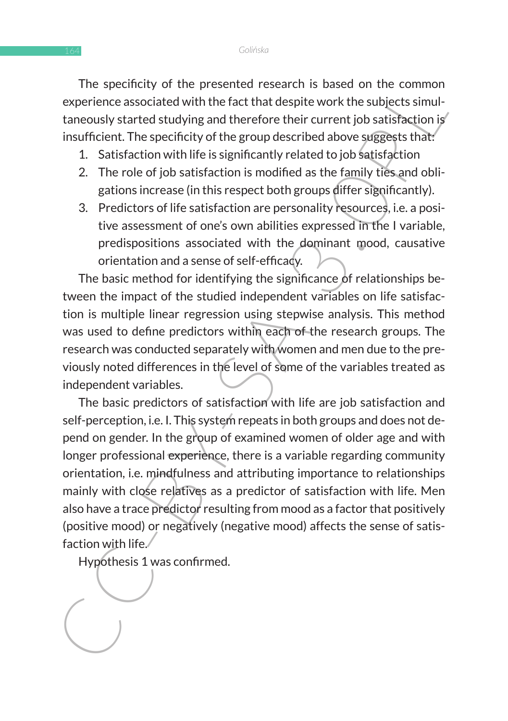The specificity of the presented research is based on the common experience associated with the fact that despite work the subjects simultaneously started studying and therefore their current job satisfaction is insufficient. The specificity of the group described above suggests that:

- 1. Satisfaction with life is significantly related to job satisfaction
- 2. The role of job satisfaction is modified as the family ties and obligations increase (in this respect both groups differ significantly).
- 3. Predictors of life satisfaction are personality resources, i.e. a positive assessment of one's own abilities expressed in the I variable, predispositions associated with the dominant mood, causative orientation and a sense of self-efficacy.

The basic method for identifying the significance of relationships between the impact of the studied independent variables on life satisfaction is multiple linear regression using stepwise analysis. This method was used to define predictors within each of the research groups. The research was conducted separately with women and men due to the previously noted differences in the level of some of the variables treated as independent variables.

The specifical of the presention of the presention is to secure the specifical control of the secure interest in the common taneously started studying and therefore their current job satisfaction is<br>insufficient. The speci The basic predictors of satisfaction with life are job satisfaction and self-perception, i.e. I. This system repeats in both groups and does not depend on gender. In the group of examined women of older age and with longer professional experience, there is a variable regarding community orientation, i.e. mindfulness and attributing importance to relationships mainly with close relatives as a predictor of satisfaction with life. Men also have a trace predictor resulting from mood as a factor that positively (positive mood) or negatively (negative mood) affects the sense of satisfaction with life.

Hypothesis 1 was confirmed.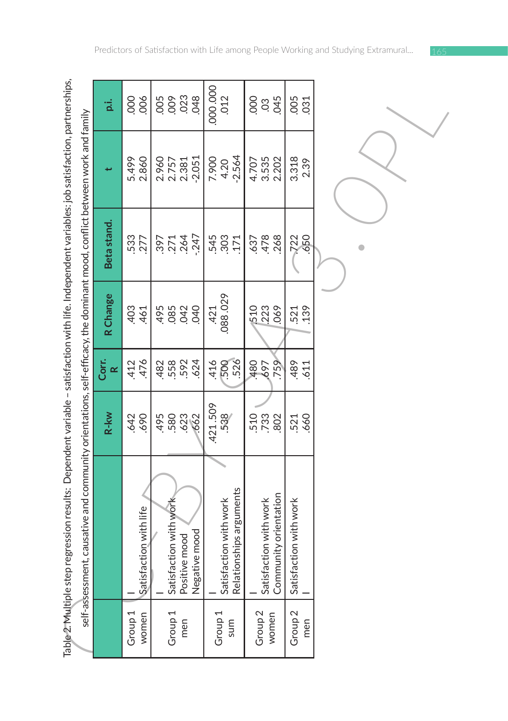|                             | Table 2. Multiple step regression results: Dependent variable – satisfaction with life. Independent variables: job satisfaction, partnerships,<br>self-assessment, causative and community orientations, self-efficacy, the dominant mood, conflict between work and family |                           |                          |                             |                     |                                     |                              |
|-----------------------------|-----------------------------------------------------------------------------------------------------------------------------------------------------------------------------------------------------------------------------------------------------------------------------|---------------------------|--------------------------|-----------------------------|---------------------|-------------------------------------|------------------------------|
|                             |                                                                                                                                                                                                                                                                             | R-kw                      | Corr.<br>$\propto$       | R Change                    | Beta stand.         |                                     | p.i.                         |
| Group 1<br>women            | Satisfaction with life                                                                                                                                                                                                                                                      | 690<br>642                | 476<br>412               | 461                         | 533<br>277          | 5.499<br>2.860                      | 006<br>000                   |
| Group <sub>1</sub><br>men   | Satisfaction with work<br>Positive mood<br>Negative mood                                                                                                                                                                                                                    | 580<br>623<br>.662<br>495 | 482<br>558<br>592<br>624 | 495<br>085<br>042<br>040    | 2247<br>2247<br>265 | $-2.051$<br>2.960<br>2.757<br>2.381 | 88888                        |
| Group <sub>1</sub><br>sum   | Relationships arguments<br>Satisfaction with work                                                                                                                                                                                                                           | 421.509<br>538            | 526<br>416<br>500        | 088.029<br>421              | .303<br>545<br>.171 | $-2.564$<br>7.900<br>4.20           | 000.000<br>012               |
| Group <sub>2</sub><br>women | Community orientation<br>Satisfaction with work                                                                                                                                                                                                                             | 510<br>733<br>802         | 759<br>480<br>697        | .069<br><b>1510</b><br>.223 | .478<br>.268<br>637 | 3.535<br>2.202<br>4.707             | 000<br>045<br>$\overline{0}$ |
| Group <sub>2</sub><br>men   | Satisfaction with work                                                                                                                                                                                                                                                      | 660<br>521                | 489<br>611               | 139<br>521                  | 650<br>722          | 3.318<br>2.39                       | .005<br>.031                 |
|                             |                                                                                                                                                                                                                                                                             |                           |                          |                             |                     |                                     |                              |

Predictors of Satisfaction with Life among People Working and Studying Extramural...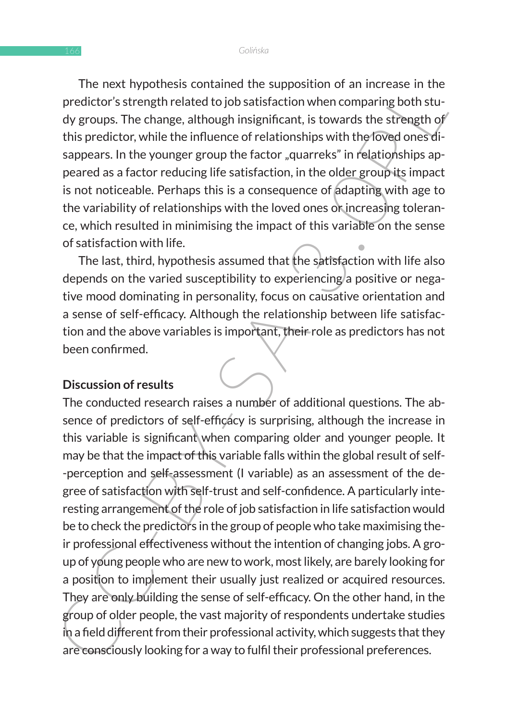The next hypothesis contained the supposition of an increase in the predictor's strength related to job satisfaction when comparing both study groups. The change, although insignificant, is towards the strength of this predictor, while the influence of relationships with the loved ones disappears. In the younger group the factor "guarreks" in relationships appeared as a factor reducing life satisfaction, in the older group its impact is not noticeable. Perhaps this is a consequence of adapting with age to the variability of relationships with the loved ones or increasing tolerance, which resulted in minimising the impact of this variable on the sense of satisfaction with life.

The last, third, hypothesis assumed that the satisfaction with life also depends on the varied susceptibility to experiencing a positive or negative mood dominating in personality, focus on causative orientation and a sense of self-efficacy. Although the relationship between life satisfaction and the above variables is important, their role as predictors has not been confirmed.

### **Discussion of results**

The next in yountes to unlent the proposition of all interase in the<br>the predictor's strength nelated to job satisfaction when comparing both study<br>dyroups. The change, although insignificant, is towards the strength of<br>th The conducted research raises a number of additional questions. The absence of predictors of self-efficacy is surprising, although the increase in this variable is significant when comparing older and younger people. It may be that the impact of this variable falls within the global result of self- -perception and self-assessment (I variable) as an assessment of the degree of satisfaction with self-trust and self-confidence. A particularly interesting arrangement of the role of job satisfaction in life satisfaction would be to check the predictors in the group of people who take maximising their professional effectiveness without the intention of changing jobs. A group of young people who are new to work, most likely, are barely looking for a position to implement their usually just realized or acquired resources. They are only building the sense of self-efficacy. On the other hand, in the group of older people, the vast majority of respondents undertake studies in a field different from their professional activity, which suggests that they are consciously looking for a way to fulfil their professional preferences.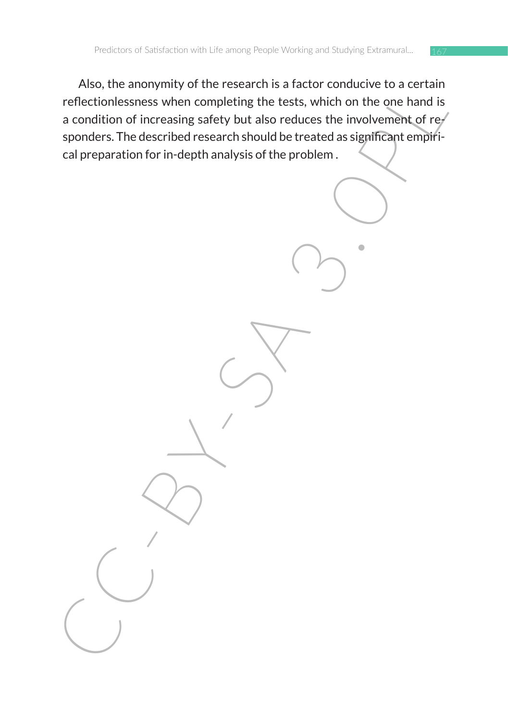Also, the annuly on the research is a radium connection, the research is a condition of increasing safety but also reduces the involvement of regionders. The described research should be treated as significant empiricant o Also, the anonymity of the research is a factor conducive to a certain reflectionlessness when completing the tests, which on the one hand is a condition of increasing safety but also reduces the involvement of responders. The described research should be treated as significant empirical preparation for in-depth analysis of the problem .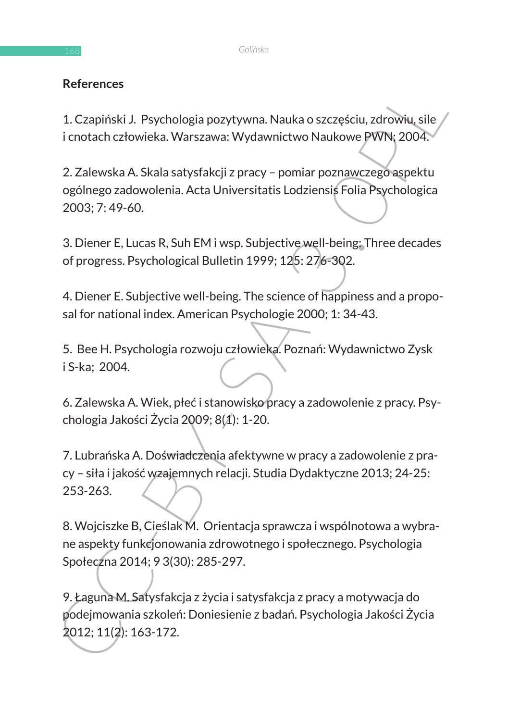## **References**

1. Czapiński J. Psychologia pozytywna. Nauka o szczęściu, zdrowiu, sile i cnotach człowieka. Warszawa: Wydawnictwo Naukowe PWN; 2004.

2. Zalewska A. Skala satysfakcji z pracy – pomiar poznawczego aspektu ogólnego zadowolenia. Acta Universitatis Lodziensis Folia Psychologica 2003; 7: 49-60.

3. Diener E, Lucas R, Suh EM i wsp. Subjective well-being: Three decades of progress. Psychological Bulletin 1999; 125: 276-302.

4. Diener E. Subjective well-being. The science of happiness and a proposal for national index. American Psychologie 2000; 1: 34-43.

5. Bee H. Psychologia rozwoju człowieka. Poznań: Wydawnictwo Zysk i S-ka; 2004.

6. Zalewska A. Wiek, płeć i stanowisko pracy a zadowolenie z pracy. Psychologia Jakości Życia 2009; 8(1): 1-20.

References<br>
1. Czapiński J. Psychologia pozytywna. Nauka o szczęściu, zdrowiu, sile<br>
i cnotach człowieka. Warszawa: Wydawnictwo Naukowe PWNt; 2004.<br>
2. Zalewska A. Skala satysfakcji z pracy – pomiar poznawczego aspektu<br>
og 7. Lubrańska A. Doświadczenia afektywne w pracy a zadowolenie z pracy – siła i jakość wzajemnych relacji. Studia Dydaktyczne 2013; 24-25: 253-263.

8. Wojciszke B, Cieślak M. Orientacja sprawcza i wspólnotowa a wybrane aspekty funkcjonowania zdrowotnego i społecznego. Psychologia Społeczna 2014; 9 3(30): 285-297.

9. Łaguna M. Satysfakcja z życia i satysfakcja z pracy a motywacja do podejmowania szkoleń: Doniesienie z badań. Psychologia Jakości Życia 2012; 11(2): 163-172.